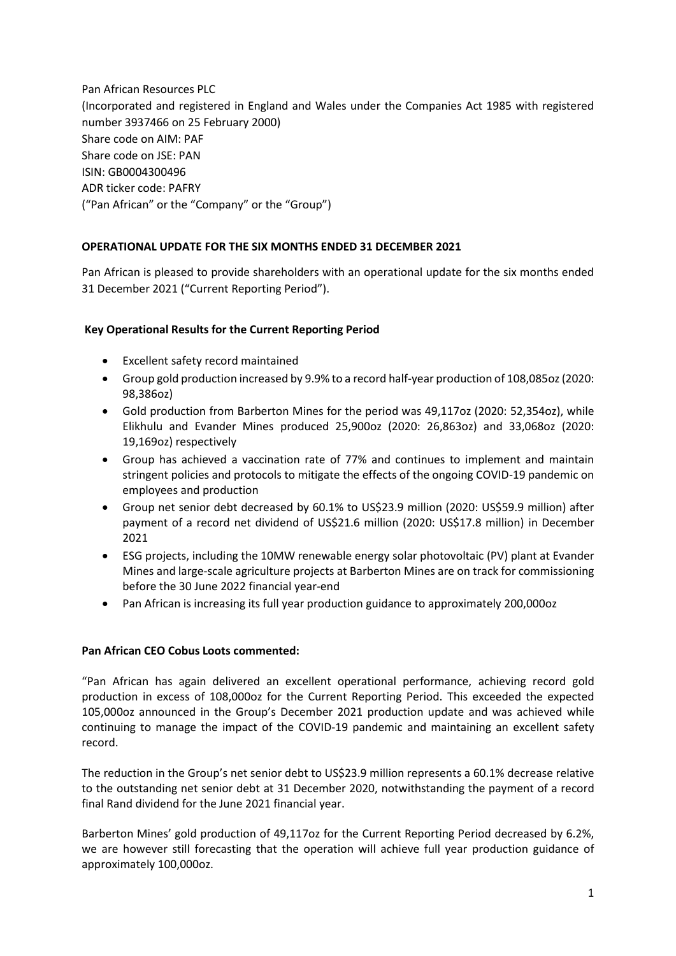Pan African Resources PLC (Incorporated and registered in England and Wales under the Companies Act 1985 with registered number 3937466 on 25 February 2000) Share code on AIM: PAF Share code on JSE: PAN ISIN: GB0004300496 ADR ticker code: PAFRY ("Pan African" or the "Company" or the "Group")

# **OPERATIONAL UPDATE FOR THE SIX MONTHS ENDED 31 DECEMBER 2021**

Pan African is pleased to provide shareholders with an operational update for the six months ended 31 December 2021 ("Current Reporting Period").

# **Key Operational Results for the Current Reporting Period**

- Excellent safety record maintained
- Group gold production increased by 9.9% to a record half-year production of 108,085oz (2020: 98,386oz)
- Gold production from Barberton Mines for the period was 49,117oz (2020: 52,354oz), while Elikhulu and Evander Mines produced 25,900oz (2020: 26,863oz) and 33,068oz (2020: 19,169oz) respectively
- Group has achieved a vaccination rate of 77% and continues to implement and maintain stringent policies and protocols to mitigate the effects of the ongoing COVID-19 pandemic on employees and production
- Group net senior debt decreased by 60.1% to US\$23.9 million (2020: US\$59.9 million) after payment of a record net dividend of US\$21.6 million (2020: US\$17.8 million) in December 2021
- ESG projects, including the 10MW renewable energy solar photovoltaic (PV) plant at Evander Mines and large-scale agriculture projects at Barberton Mines are on track for commissioning before the 30 June 2022 financial year-end
- Pan African is increasing its full year production guidance to approximately 200,000oz

## **Pan African CEO Cobus Loots commented:**

"Pan African has again delivered an excellent operational performance, achieving record gold production in excess of 108,000oz for the Current Reporting Period. This exceeded the expected 105,000oz announced in the Group's December 2021 production update and was achieved while continuing to manage the impact of the COVID-19 pandemic and maintaining an excellent safety record.

The reduction in the Group's net senior debt to US\$23.9 million represents a 60.1% decrease relative to the outstanding net senior debt at 31 December 2020, notwithstanding the payment of a record final Rand dividend for the June 2021 financial year.

Barberton Mines' gold production of 49,117oz for the Current Reporting Period decreased by 6.2%, we are however still forecasting that the operation will achieve full year production guidance of approximately 100,000oz.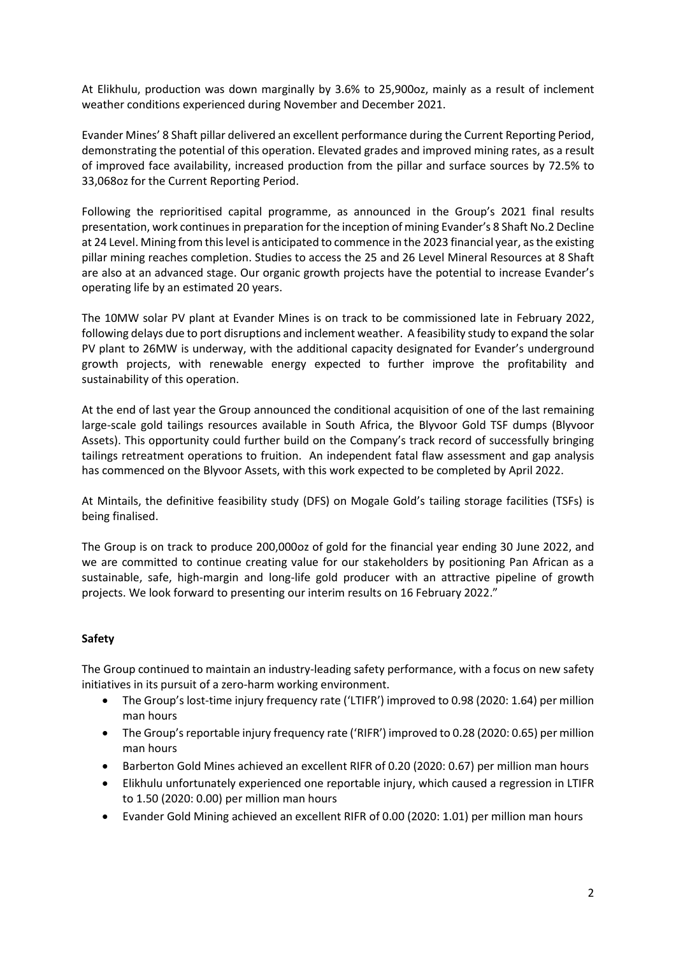At Elikhulu, production was down marginally by 3.6% to 25,900oz, mainly as a result of inclement weather conditions experienced during November and December 2021.

Evander Mines' 8 Shaft pillar delivered an excellent performance during the Current Reporting Period, demonstrating the potential of this operation. Elevated grades and improved mining rates, as a result of improved face availability, increased production from the pillar and surface sources by 72.5% to 33,068oz for the Current Reporting Period.

Following the reprioritised capital programme, as announced in the Group's 2021 final results presentation, work continues in preparation for the inception of mining Evander's 8 Shaft No.2 Decline at 24 Level. Mining from this level is anticipated to commence in the 2023 financial year, as the existing pillar mining reaches completion. Studies to access the 25 and 26 Level Mineral Resources at 8 Shaft are also at an advanced stage. Our organic growth projects have the potential to increase Evander's operating life by an estimated 20 years.

The 10MW solar PV plant at Evander Mines is on track to be commissioned late in February 2022, following delays due to port disruptions and inclement weather. A feasibility study to expand the solar PV plant to 26MW is underway, with the additional capacity designated for Evander's underground growth projects, with renewable energy expected to further improve the profitability and sustainability of this operation.

At the end of last year the Group announced the conditional acquisition of one of the last remaining large-scale gold tailings resources available in South Africa, the Blyvoor Gold TSF dumps (Blyvoor Assets). This opportunity could further build on the Company's track record of successfully bringing tailings retreatment operations to fruition. An independent fatal flaw assessment and gap analysis has commenced on the Blyvoor Assets, with this work expected to be completed by April 2022.

At Mintails, the definitive feasibility study (DFS) on Mogale Gold's tailing storage facilities (TSFs) is being finalised.

The Group is on track to produce 200,000oz of gold for the financial year ending 30 June 2022, and we are committed to continue creating value for our stakeholders by positioning Pan African as a sustainable, safe, high-margin and long-life gold producer with an attractive pipeline of growth projects. We look forward to presenting our interim results on 16 February 2022."

# **Safety**

The Group continued to maintain an industry-leading safety performance, with a focus on new safety initiatives in its pursuit of a zero-harm working environment.

- The Group's lost-time injury frequency rate ('LTIFR') improved to 0.98 (2020: 1.64) per million man hours
- The Group's reportable injury frequency rate ('RIFR') improved to 0.28 (2020: 0.65) per million man hours
- Barberton Gold Mines achieved an excellent RIFR of 0.20 (2020: 0.67) per million man hours
- Elikhulu unfortunately experienced one reportable injury, which caused a regression in LTIFR to 1.50 (2020: 0.00) per million man hours
- Evander Gold Mining achieved an excellent RIFR of 0.00 (2020: 1.01) per million man hours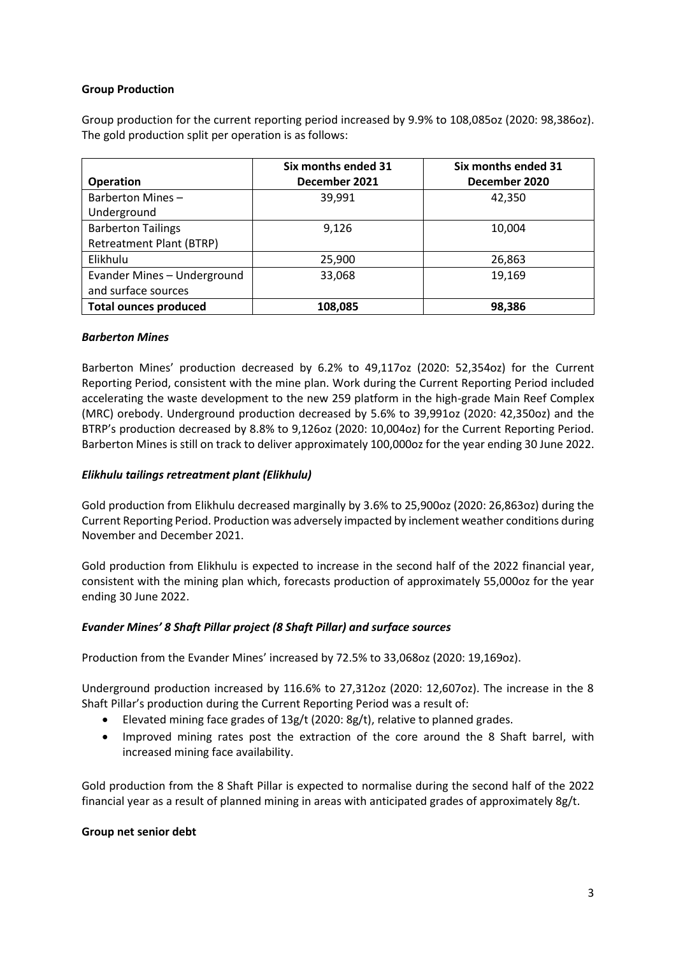## **Group Production**

Group production for the current reporting period increased by 9.9% to 108,085oz (2020: 98,386oz). The gold production split per operation is as follows:

| <b>Operation</b>                                             | Six months ended 31<br>December 2021 | Six months ended 31<br>December 2020 |
|--------------------------------------------------------------|--------------------------------------|--------------------------------------|
| Barberton Mines -<br>Underground                             | 39,991                               | 42,350                               |
| <b>Barberton Tailings</b><br><b>Retreatment Plant (BTRP)</b> | 9,126                                | 10,004                               |
| Elikhulu                                                     | 25,900                               | 26,863                               |
| Evander Mines - Underground<br>and surface sources           | 33,068                               | 19,169                               |
| <b>Total ounces produced</b>                                 | 108,085                              | 98,386                               |

#### *Barberton Mines*

Barberton Mines' production decreased by 6.2% to 49,117oz (2020: 52,354oz) for the Current Reporting Period, consistent with the mine plan. Work during the Current Reporting Period included accelerating the waste development to the new 259 platform in the high-grade Main Reef Complex (MRC) orebody. Underground production decreased by 5.6% to 39,991oz (2020: 42,350oz) and the BTRP's production decreased by 8.8% to 9,126oz (2020: 10,004oz) for the Current Reporting Period. Barberton Mines is still on track to deliver approximately 100,000oz for the year ending 30 June 2022.

# *Elikhulu tailings retreatment plant (Elikhulu)*

Gold production from Elikhulu decreased marginally by 3.6% to 25,900oz (2020: 26,863oz) during the Current Reporting Period. Production was adversely impacted by inclement weather conditions during November and December 2021.

Gold production from Elikhulu is expected to increase in the second half of the 2022 financial year, consistent with the mining plan which, forecasts production of approximately 55,000oz for the year ending 30 June 2022.

#### *Evander Mines' 8 Shaft Pillar project (8 Shaft Pillar) and surface sources*

Production from the Evander Mines' increased by 72.5% to 33,068oz (2020: 19,169oz).

Underground production increased by 116.6% to 27,312oz (2020: 12,607oz). The increase in the 8 Shaft Pillar's production during the Current Reporting Period was a result of:

- Elevated mining face grades of 13g/t (2020: 8g/t), relative to planned grades.
- Improved mining rates post the extraction of the core around the 8 Shaft barrel, with increased mining face availability.

Gold production from the 8 Shaft Pillar is expected to normalise during the second half of the 2022 financial year as a result of planned mining in areas with anticipated grades of approximately 8g/t.

#### **Group net senior debt**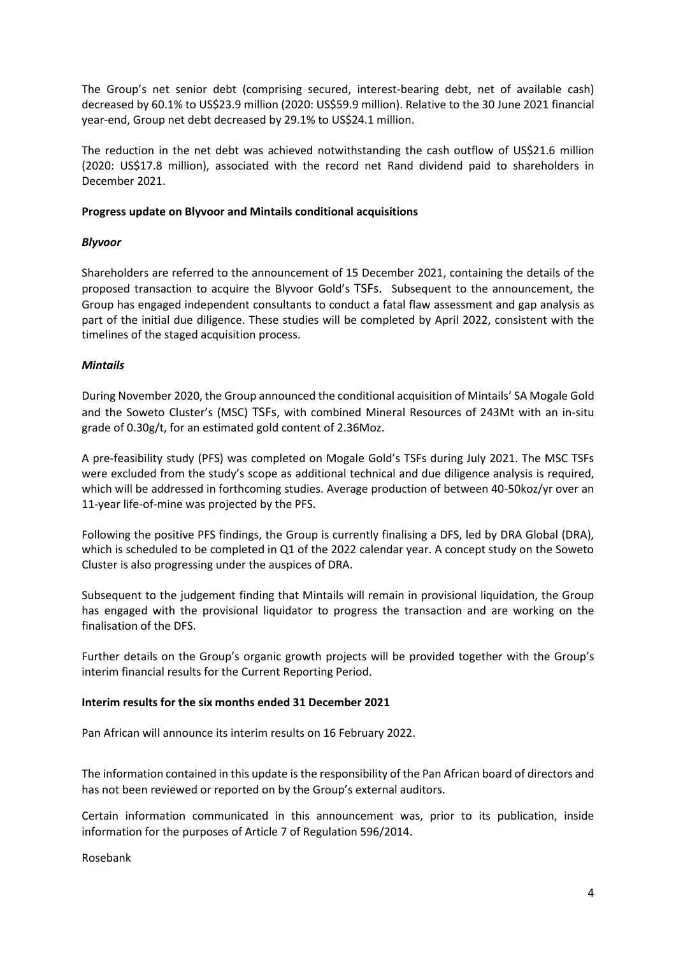The Group's net senior debt (comprising secured, interest-bearing debt, net of available cash) decreased by 60.1% to US\$23.9 million (2020: US\$59.9 million). Relative to the 30 June 2021 financial year-end, Group net debt decreased by 29.1% to US\$24.1 million.

The reduction in the net debt was achieved notwithstanding the cash outflow of US\$21.6 million (2020: US\$17.8 million), associated with the record net Rand dividend paid to shareholders in December 2021.

## **Progress update on Blyvoor and Mintails conditional acquisitions**

## *Blyvoor*

Shareholders are referred to the announcement of 15 December 2021, containing the details of the proposed transaction to acquire the Blyvoor Gold's TSFs. Subsequent to the announcement, the Group has engaged independent consultants to conduct a fatal flaw assessment and gap analysis as part of the initial due diligence. These studies will be completed by April 2022, consistent with the timelines of the staged acquisition process.

## *Mintails*

During November 2020, the Group announced the conditional acquisition of Mintails' SA Mogale Gold and the Soweto Cluster's (MSC) TSFs, with combined Mineral Resources of 243Mt with an in-situ grade of 0.30g/t, for an estimated gold content of 2.36Moz.

A pre-feasibility study (PFS) was completed on Mogale Gold's TSFs during July 2021. The MSC TSFs were excluded from the study's scope as additional technical and due diligence analysis is required, which will be addressed in forthcoming studies. Average production of between 40-50koz/yr over an 11-year life-of-mine was projected by the PFS.

Following the positive PFS findings, the Group is currently finalising a DFS, led by DRA Global (DRA), which is scheduled to be completed in Q1 of the 2022 calendar year. A concept study on the Soweto Cluster is also progressing under the auspices of DRA.

Subsequent to the judgement finding that Mintails will remain in provisional liquidation, the Group has engaged with the provisional liquidator to progress the transaction and are working on the finalisation of the DFS.

Further details on the Group's organic growth projects will be provided together with the Group's interim financial results for the Current Reporting Period.

#### **Interim results for the six months ended 31 December 2021**

Pan African will announce its interim results on 16 February 2022.

The information contained in this update is the responsibility of the Pan African board of directors and has not been reviewed or reported on by the Group's external auditors.

Certain information communicated in this announcement was, prior to its publication, inside information for the purposes of Article 7 of Regulation 596/2014.

Rosebank